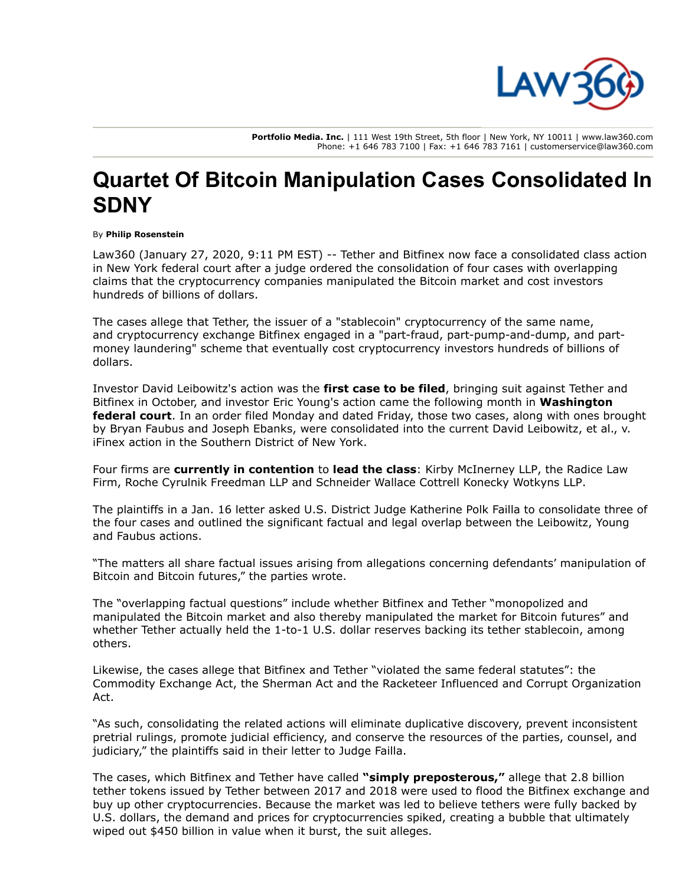

Portfolio Media. Inc. | 111 West 19th Street, 5th floor | New York, NY 10011 | www.law360.com Phone: +1 646 783 7100 | Fax: +1 646 783 7161 | customerservice@law360.com

## Quartet Of Bitcoin Manipulation Cases Consolidated In **SDNY**

## By Philip Rosenstein

Law360 (January 27, 2020, 9:11 PM EST) -- Tether and [Bitfinex](https://www.law360.com/companies/ifinex-inc) now face a consolidated class action in New York federal court after a judge ordered the consolidation of four cases with overlapping claims that the cryptocurrency companies manipulated the Bitcoin market and cost investors hundreds of billions of dollars.

The cases allege that Tether, the issuer of a "stablecoin" cryptocurrency of the same name, and cryptocurrency exchange Bitfinex engaged in a "part-fraud, part-pump-and-dump, and partmoney laundering" scheme that eventually cost cryptocurrency investors hundreds of billions of dollars.

Investor David Leibowitz's action was the first [case](https://www.law360.com/articles/1206932) to be filed, bringing suit against Tether and Bitfinex in October, and investor Eric Young's action came the following month in [Washington](https://www.law360.com/articles/1222931/bitfinex-tether-face-fresh-set-of-bitcoin-manipulation-claims) **federal court**. In an order filed Monday and dated Friday, those two cases, along with ones brought by Bryan Faubus and Joseph Ebanks, were consolidated into the current David Leibowitz, et al., v. iFinex action in the Southern District of New York.

Four firms are currently in [contention](https://www.law360.com/articles/1231598) to lead the [class](https://www.law360.com/articles/1234251): Kirby [McInerney](https://www.law360.com/firms/kirby-mcinerney) LLP, the Radice Law Firm, Roche Cyrulnik [Freedman](https://www.law360.com/firms/roche-cyrulnik-freedman) LLP and [Schneider](https://www.law360.com/firms/schneider-wallace) Wallace Cottrell Konecky Wotkyns LLP.

The plaintiffs in a Jan. 16 letter asked U.S. District Judge Katherine Polk Failla to consolidate three of the four cases and outlined the significant factual and legal overlap between the Leibowitz, Young and Faubus actions.

"The matters all share factual issues arising from allegations concerning defendants' manipulation of Bitcoin and Bitcoin futures," the parties wrote.

The "overlapping factual questions" include whether Bitfinex and Tether "monopolized and manipulated the Bitcoin market and also thereby manipulated the market for Bitcoin futures" and whether Tether actually held the 1-to-1 U.S. dollar reserves backing its tether stablecoin, among others.

Likewise, the cases allege that Bitfinex and Tether "violated the same federal statutes": the Commodity Exchange Act, the Sherman Act and the Racketeer Influenced and Corrupt Organization Act.

"As such, consolidating the related actions will eliminate duplicative discovery, prevent inconsistent pretrial rulings, promote judicial efficiency, and conserve the resources of the parties, counsel, and judiciary," the plaintiffs said in their letter to Judge Failla.

The cases, which Bitfinex and Tether have called "simply [preposterous,"](https://www.law360.com/articles/1220333) allege that 2.8 billion tether tokens issued by Tether between 2017 and 2018 were used to flood the Bitfinex exchange and buy up other cryptocurrencies. Because the market was led to believe tethers were fully backed by U.S. dollars, the demand and prices for cryptocurrencies spiked, creating a bubble that ultimately wiped out \$450 billion in value when it burst, the suit alleges.